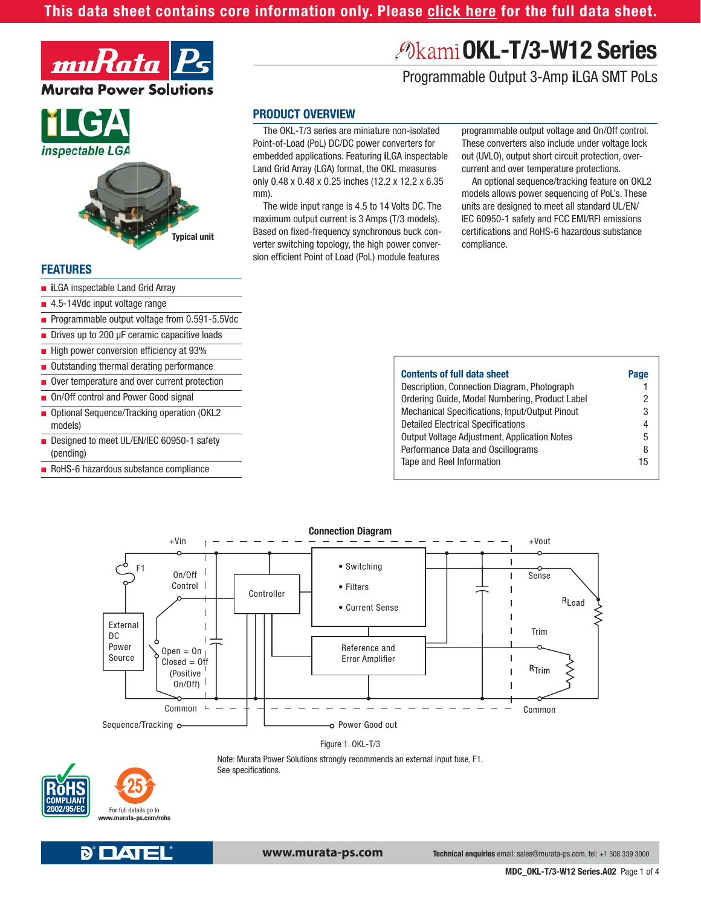#### **[This data sheet contains core information only. Please click here for the full data sheet.](http://www.murata-ps.com/data/power/okl-t3-w12_long.pdf?ref=short)**



# inspectable LGA



#### **FEATURES**

- **i**LGA inspectable Land Grid Array
- 4.5-14Vdc input voltage range

■ Programmable output voltage from 0.591-5.5Vdc

- Drives up to 200 µF ceramic capacitive loads
- High power conversion efficiency at 93%
- Outstanding thermal derating performance
- Over temperature and over current protection
- On/Off control and Power Good signal
- Optional Sequence/Tracking operation (OKL2 models)
- Designed to meet UL/EN/IEC 60950-1 safety (pending)
- RoHS-6 hazardous substance compliance

# **OKL-T/3-W12 Series**

Programmable Output 3-Amp **i**LGA SMT PoLs

#### **PRODUCT OVERVIEW**

The OKL-T/3 series are miniature non-isolated Point-of-Load (PoL) DC/DC power converters for embedded applications. Featuring **i**LGA inspectable Land Grid Array (LGA) format, the OKL measures only 0.48 x 0.48 x 0.25 inches (12.2 x 12.2 x 6.35 mm).

The wide input range is 4.5 to 14 Volts DC. The maximum output current is 3 Amps (T/3 models). Based on fixed-frequency synchronous buck converter switching topology, the high power conversion efficient Point of Load (PoL) module features

programmable output voltage and On/Off control. These converters also include under voltage lock out (UVLO), output short circuit protection, overcurrent and over temperature protections.

An optional sequence/tracking feature on OKL2 models allows power sequencing of PoL's. These units are designed to meet all standard UL/EN/ IEC 60950-1 safety and FCC EMI/RFI emissions certifications and RoHS-6 hazardous substance compliance.

| <b>Contents of full data sheet</b>                  | Page |
|-----------------------------------------------------|------|
| Description, Connection Diagram, Photograph         |      |
| Ordering Guide, Model Numbering, Product Label      | 2    |
| Mechanical Specifications, Input/Output Pinout      | 3    |
| <b>Detailed Electrical Specifications</b>           | 4    |
| <b>Output Voltage Adjustment, Application Notes</b> | 5    |
| Performance Data and Oscillograms                   | 8    |
| Tape and Reel Information                           | 15   |
|                                                     |      |





Note: Murata Power Solutions strongly recommends an external input fuse, F1. See specifications.



**D' DAT** 

**www.murata-ps.com**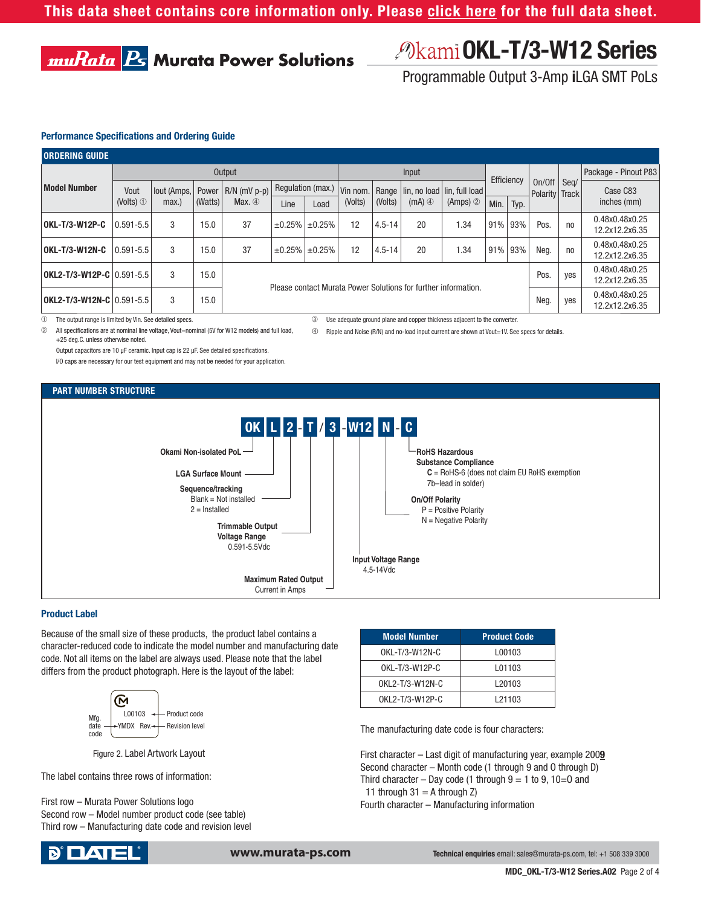## **OKL-T/3-W12 Series**

Programmable Output 3-Amp **i**LGA SMT PoLs

#### **Performance Specifications and Ordering Guide**

**muRata B Murata Power Solutions** 

| <b>ORDERING GUIDE</b>       |               |                     |                  |                                                                                              |                   |                             |          |            |                      |                                       |                                  |     |                                  |                |                                  |
|-----------------------------|---------------|---------------------|------------------|----------------------------------------------------------------------------------------------|-------------------|-----------------------------|----------|------------|----------------------|---------------------------------------|----------------------------------|-----|----------------------------------|----------------|----------------------------------|
| <b>Model Number</b>         | Output        |                     |                  |                                                                                              |                   |                             | Input    |            |                      |                                       |                                  |     |                                  |                | Package - Pinout P83             |
|                             | Vout          | lout (Amps,<br>max. | Power<br>(Watts) | $R/N$ (mV $p-p$ )<br>Max. $\circledA$                                                        | Regulation (max.) |                             | Vin nom. |            |                      | Range   lin, no load   lin, full load | Efficiency                       |     | On/Off<br>Polarity               | Seg/<br>Track  | Case C83                         |
|                             | (Volts) $1$   |                     |                  |                                                                                              | Line              | Load                        | (Volts)  | (Volts)    | $(mA)$ $\circled{4}$ | $(Amps)$ $\oslash$                    | Min.<br>Typ.                     |     |                                  | inches (mm)    |                                  |
| OKL-T/3-W12P-C              | $0.591 - 5.5$ | 3                   | 15.0             | 37                                                                                           |                   | $\pm 0.25\%$   $\pm 0.25\%$ | 12       | $4.5 - 14$ | 20                   | .34                                   | 91% 93%                          |     | Pos.                             | no             | 0.48x0.48x0.25<br>12.2x12.2x6.35 |
| OKL-T/3-W12N-C              | $0.591 - 5.5$ | 3                   | 15.0             | 37                                                                                           |                   | $\pm 0.25\%$ $\pm 0.25\%$   | 12       | $4.5 - 14$ | 20                   | .34                                   | 91%                              | 93% | Neg.                             | n <sub>0</sub> | 0.48x0.48x0.25<br>12.2x12.2x6.35 |
| OKL2-T/3-W12P-C   0.591-5.5 |               | 3                   | 15.0             | Pos.<br>ves<br>Please contact Murata Power Solutions for further information.<br>Neg.<br>ves |                   |                             |          |            |                      |                                       |                                  |     | 0.48x0.48x0.25<br>12.2x12.2x6.35 |                |                                  |
| OKL2-T/3-W12N-C   0.591-5.5 |               | 3                   | 15.0             |                                                                                              |                   |                             |          |            |                      |                                       | 0.48x0.48x0.25<br>12.2x12.2x6.35 |     |                                  |                |                                  |

➀ The output range is limited by Vin. See detailed specs.

➁ All specifi cations are at nominal line voltage, Vout=nominal (5V for W12 models) and full load, +25 deg.C. unless otherwise noted.

Output capacitors are 10  $\mu$ F ceramic. Input cap is 22  $\mu$ F. See detailed specifications. I/O caps are necessary for our test equipment and may not be needed for your application. ➂ Use adequate ground plane and copper thickness adjacent to the converter.

f Ripple and Noise (R/N) and no-load input current are shown at Vout=1V. See specs for details.

#### **PART NUMBER STRUCTURE**



#### **Product Label**

Because of the small size of these products, the product label contains a character-reduced code to indicate the model number and manufacturing date code. Not all items on the label are always used. Please note that the label differs from the product photograph. Here is the layout of the label:



Figure 2. Label Artwork Layout

The label contains three rows of information:

First row – Murata Power Solutions logo Second row – Model number product code (see table) Third row – Manufacturing date code and revision level

| <b>Model Number</b> | <b>Product Code</b> |
|---------------------|---------------------|
| OKL-T/3-W12N-C      | L00103              |
| OKL-T/3-W12P-C      | L01103              |
| OKL2-T/3-W12N-C     | L <sub>20103</sub>  |
| OKL2-T/3-W12P-C     | L21103              |

The manufacturing date code is four characters:

First character – Last digit of manufacturing year, example 200**9** Second character – Month code (1 through 9 and O through D) Third character – Day code (1 through  $9 = 1$  to 9, 10=0 and 11 through  $31 = A$  through  $Z$ ) Fourth character – Manufacturing information

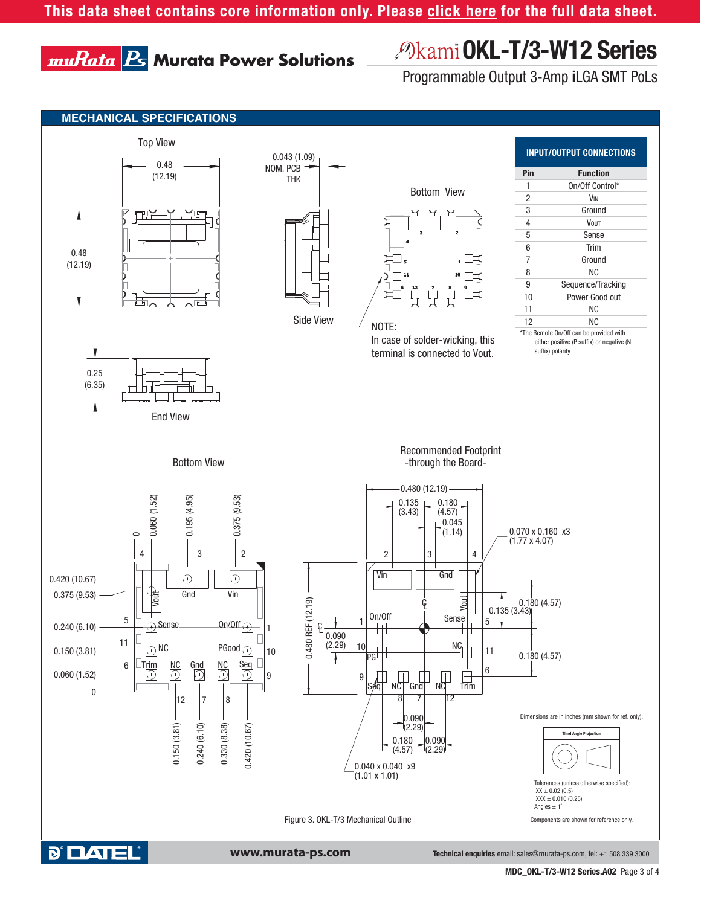## muRata B Murata Power Solutions

## **OKL-T/3-W12 Series**

Programmable Output 3-Amp **i**LGA SMT PoLs